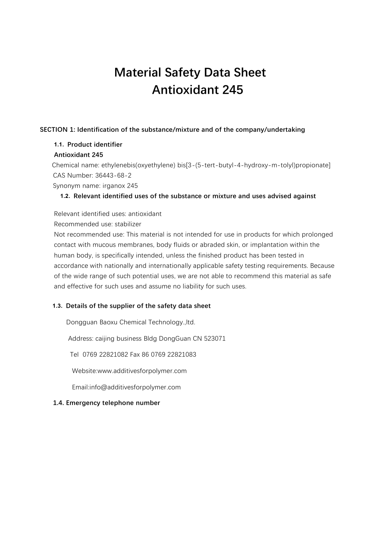# **Material Safety Data Sheet Antioxidant 245**

## **SECTION 1: Identification of the substance/mixture and of the company/undertaking**

# **1.1. Product identifier**

## **Antioxidant 245**

 Chemical name: ethylenebis(oxyethylene) bis[3-(5-tert-butyl-4-hydroxy-m-tolyl)propionate] CAS Number: 36443-68-2

Synonym name: irganox 245

## **1.2. Relevant identified uses of the substance or mixture and uses advised against**

Relevant identified uses: antioxidant

Recommended use: stabilizer

Not recommended use: This material is not intended for use in products for which prolonged contact with mucous membranes, body fluids or abraded skin, or implantation within the human body, is specifically intended, unless the finished product has been tested in accordance with nationally and internationally applicable safety testing requirements. Because of the wide range of such potential uses, we are not able to recommend this material as safe and effective for such uses and assume no liability for such uses.

# **1.3. Details of the supplier of the safety data sheet**

Dongguan Baoxu Chemical Technology.,ltd.

Address: caijing business Bldg DongGuan CN 523071

Tel 0769 22821082 Fax 86 0769 22821083

Website:www.additivesforpolymer.com

Email:info@additivesforpolymer.com

## **1.4. Emergency telephone number**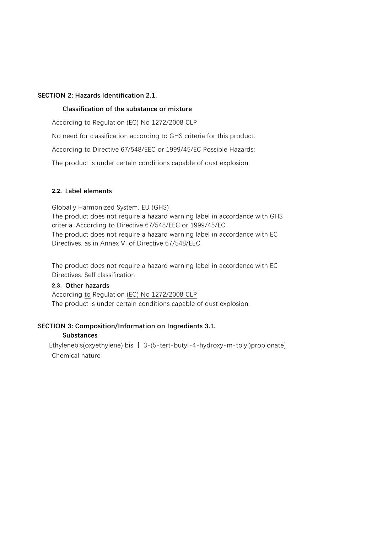## **SECTION 2: Hazards Identification 2.1.**

## **Classification of the substance or mixture**

According to Regulation (EC) No 1272/2008 CLP

No need for classification according to GHS criteria for this product.

According to Directive 67/548/EEC or 1999/45/EC Possible Hazards:

The product is under certain conditions capable of dust explosion.

## **2.2. Label elements**

Globally Harmonized System, EU (GHS) The product does not require a hazard warning label in accordance with GHS criteria. According to Directive 67/548/EEC or 1999/45/EC The product does not require a hazard warning label in accordance with EC Directives. as in Annex VI of Directive 67/548/EEC

The product does not require a hazard warning label in accordance with EC Directives. Self classification

#### **2.3. Other hazards**

According to Regulation (EC) No 1272/2008 CLP The product is under certain conditions capable of dust explosion.

## **SECTION 3: Composition/Information on Ingredients 3.1.**

#### **Substances**

Chemical nature Ethylenebis(oxyethylene) bis 丨 3-(5-tert-butyl-4-hydroxy-m-tolyl)propionate]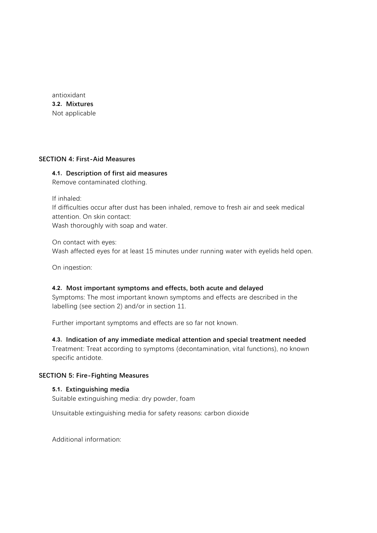antioxidant **3.2. Mixtures** Not applicable

#### **SECTION 4: First-Aid Measures**

#### **4.1. Description of first aid measures**

Remove contaminated clothing.

If inhaled:

If difficulties occur after dust has been inhaled, remove to fresh air and seek medical attention. On skin contact:

Wash thoroughly with soap and water.

On contact with eyes: Wash affected eyes for at least 15 minutes under running water with eyelids held open.

On ingestion:

#### **4.2. Most important symptoms and effects, both acute and delayed**

Symptoms: The most important known symptoms and effects are described in the labelling (see section 2) and/or in section 11.

Further important symptoms and effects are so far not known.

#### **4.3. Indication of any immediate medical attention and special treatment needed**

Treatment: Treat according to symptoms (decontamination, vital functions), no known specific antidote.

#### **SECTION 5: Fire-Fighting Measures**

#### **5.1. Extinguishing media**

Suitable extinguishing media: dry powder, foam

Unsuitable extinguishing media for safety reasons: carbon dioxide

Additional information: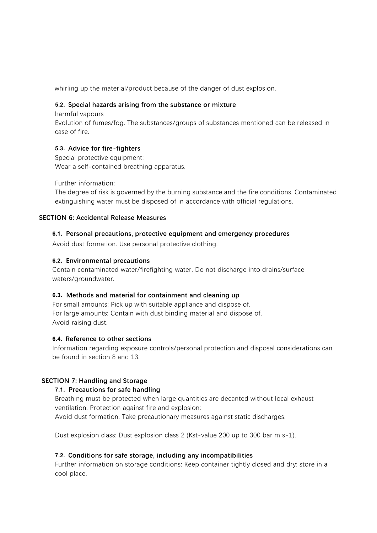whirling up the material/product because of the danger of dust explosion.

#### **5.2. Special hazards arising from the substance or mixture**

harmful vapours

Evolution of fumes/fog. The substances/groups of substances mentioned can be released in case of fire.

#### **5.3. Advice for fire-fighters**

Special protective equipment: Wear a self-contained breathing apparatus.

Further information:

The degree of risk is governed by the burning substance and the fire conditions. Contaminated extinguishing water must be disposed of in accordance with official regulations.

#### **SECTION 6: Accidental Release Measures**

#### **6.1. Personal precautions, protective equipment and emergency procedures**

Avoid dust formation. Use personal protective clothing.

#### **6.2. Environmental precautions**

Contain contaminated water/firefighting water. Do not discharge into drains/surface waters/groundwater.

#### **6.3. Methods and material for containment and cleaning up**

For small amounts: Pick up with suitable appliance and dispose of. For large amounts: Contain with dust binding material and dispose of. Avoid raising dust.

#### **6.4. Reference to other sections**

Information regarding exposure controls/personal protection and disposal considerations can be found in section 8 and 13.

#### **SECTION 7: Handling and Storage**

#### **7.1. Precautions for safe handling**

Breathing must be protected when large quantities are decanted without local exhaust ventilation. Protection against fire and explosion:

Avoid dust formation. Take precautionary measures against static discharges.

Dust explosion class: Dust explosion class 2 (Kst-value 200 up to 300 bar m s-1).

#### **7.2. Conditions for safe storage, including any incompatibilities**

Further information on storage conditions: Keep container tightly closed and dry; store in a cool place.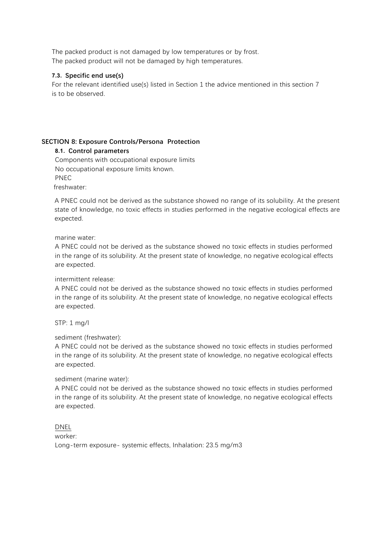The packed product is not damaged by low temperatures or by frost. The packed product will not be damaged by high temperatures.

## **7.3. Specific end use(s)**

For the relevant identified use(s) listed in Section 1 the advice mentioned in this section 7 is to be observed.

# **SECTION 8: Exposure Controls/Persona Protection**

## **8.1. Control parameters**

Components with occupational exposure limits No occupational exposure limits known. PNEC

freshwater:

A PNEC could not be derived as the substance showed no range of its solubility. At the present state of knowledge, no toxic effects in studies performed in the negative ecological effects are expected.

#### marine water:

A PNEC could not be derived as the substance showed no toxic effects in studies performed in the range of its solubility. At the present state of knowledge, no negative ecological effects are expected.

## intermittent release:

A PNEC could not be derived as the substance showed no toxic effects in studies performed in the range of its solubility. At the present state of knowledge, no negative ecological effects are expected.

STP: 1 mg/l

## sediment (freshwater):

A PNEC could not be derived as the substance showed no toxic effects in studies performed in the range of its solubility. At the present state of knowledge, no negative ecological effects are expected.

## sediment (marine water):

A PNEC could not be derived as the substance showed no toxic effects in studies performed in the range of its solubility. At the present state of knowledge, no negative ecological effects are expected.

 $\overline{\text{PNEC}}$  $i$ n the range of its solution state of knowledge, no negative ecological effects of  $k$ no negative ecological effects experience experience experience experience experience experience experience experience experience exp Long-term exposure- systemic effects, Inhalation: 23.5 mg/m3 DNEL worker: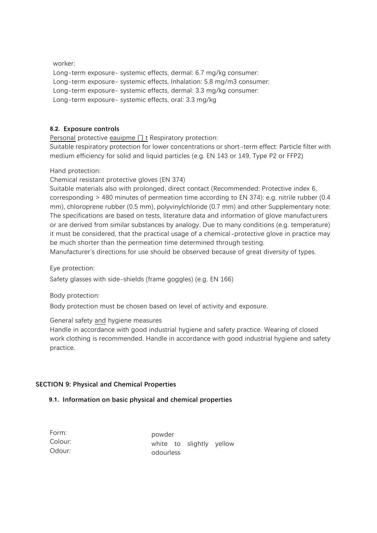worker: Long-term exposure- systemic effects, dermal: 6.7 mg/kg consumer: Long-term exposure- systemic effects, Inhalation: 5.8 mg/m3 consumer: Long-term exposure- systemic effects, dermal: 3.3 mg/kg consumer: Long-term exposure- systemic effects, oral: 3.3 mg/kg

# **8.2. Exposure controls**

Personal protective eauipme 门 t Respiratory protection:

Suitable respiratory protection for lower concentrations or short-term effect: Particle filter with medium efficiency for solid and liquid particles (e.g. EN 143 or 149, Type P2 or FFP2)

Hand protection:

Chemical resistant protective gloves (EN 374)

Suitable materials also with prolonged, direct contact (Recommended: Protective index 6, corresponding > 480 minutes of permeation time according to EN 374): e.g. nitrile rubber (0.4 mm), chloroprene rubber (0.5 mm), polyvinylchloride (0.7 mm) and other Supplementary note: The specifications are based on tests, literature data and information of glove manufacturers or are derived from similar substances by analogy. Due to many conditions (e.g. temperature) it must be considered, that the practical usage of a chemical-protective glove in practice may be much shorter than the permeation time determined through testing.

Manufacturer's directions for use should be observed because of great diversity of types.

Eye protection:

Safety glasses with side-shields (frame goggles) (e.g. EN 166)

Body protection:

Body protection must be chosen based on level of activity and exposure.

## General safety and hygiene measures

Handle in accordance with good industrial hygiene and safety practice. Wearing of closed work clothing is recommended. Handle in accordance with good industrial hygiene and safety practice.

## **SECTION 9: Physical and Chemical Properties**

## **9.1. Information on basic physical and chemical properties**

| Form:   |  |
|---------|--|
| Colour: |  |
| Odour:  |  |

powder white to slightly yellow odourless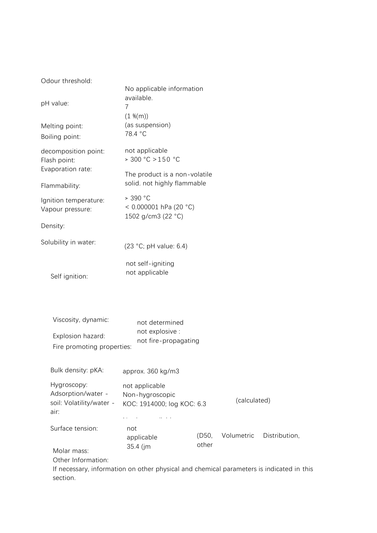Odour threshold:

| pH value:                                                              | No applicable information<br>available.<br>7<br>$(1 \frac{M(m)}{m})$                                                      |                |              |               |
|------------------------------------------------------------------------|---------------------------------------------------------------------------------------------------------------------------|----------------|--------------|---------------|
| Melting point:<br>Boiling point:                                       | (as suspension)<br>78.4 °C                                                                                                |                |              |               |
| decomposition point:<br>Flash point:<br>Evaporation rate:              | not applicable<br>> 300 °C > 150 °C<br>The product is a non-volatile                                                      |                |              |               |
| Flammability:                                                          | solid. not highly flammable                                                                                               |                |              |               |
| Ignition temperature:<br>Vapour pressure:                              | > 390 °C<br>< $0.000001$ hPa (20 °C)<br>1502 g/cm3 (22 °C)                                                                |                |              |               |
| Density:                                                               |                                                                                                                           |                |              |               |
| Solubility in water:                                                   | (23 °C; pH value: 6.4)                                                                                                    |                |              |               |
| Self ignition:                                                         | not self-igniting<br>not applicable                                                                                       |                |              |               |
| Viscosity, dynamic:<br>Explosion hazard:<br>Fire promoting properties: | not determined<br>not explosive :<br>not fire-propagating                                                                 |                |              |               |
| Bulk density: pKA:                                                     | approx. 360 kg/m3                                                                                                         |                |              |               |
| Hygroscopy:<br>Adsorption/water -<br>soil: Volatility/water -<br>air:  | not applicable<br>Non-hygroscopic<br>KOC: 1914000; log KOC: 6.3                                                           |                | (calculated) |               |
| Surface tension:<br>Molar mass:<br>Other Information:                  | not<br>applicable<br>35.4 (jm<br>If necessary, information on other physical and chemical parameters is indicated in this | (D50,<br>other | Volumetric   | Distribution, |

section.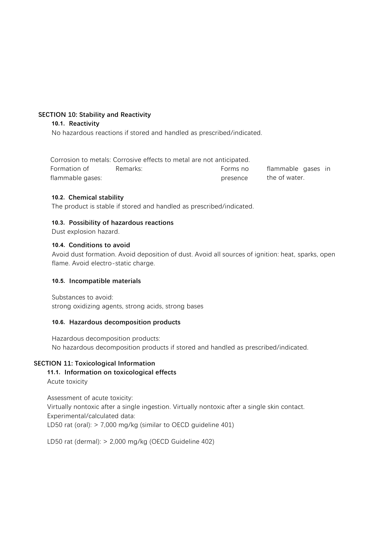# **SECTION 10: Stability and Reactivity**

#### **10.1. Reactivity**

No hazardous reactions if stored and handled as prescribed/indicated.

|                  | Corrosion to metals: Corrosive effects to metal are not anticipated. |          |                    |  |
|------------------|----------------------------------------------------------------------|----------|--------------------|--|
| Formation of     | Remarks:                                                             | Forms no | flammable gases in |  |
| flammable gases: |                                                                      | presence | the of water.      |  |

## **10.2. Chemical stability**

The product is stable if stored and handled as prescribed/indicated.

## **10.3. Possibility of hazardous reactions**

Dust explosion hazard.

#### **10.4. Conditions to avoid**

Avoid dust formation. Avoid deposition of dust. Avoid all sources of ignition: heat, sparks, open flame. Avoid electro-static charge.

#### **10.5. Incompatible materials**

Substances to avoid: strong oxidizing agents, strong acids, strong bases

#### **10.6. Hazardous decomposition products**

Hazardous decomposition products: No hazardous decomposition products if stored and handled as prescribed/indicated.

## **SECTION 11: Toxicological Information**

## **11.1. Information on toxicological effects**

Acute toxicity

Assessment of acute toxicity: Virtually nontoxic after a single ingestion. Virtually nontoxic after a single skin contact. Experimental/calculated data: LD50 rat (oral): > 7,000 mg/kg (similar to OECD guideline 401)

LD50 rat (dermal): > 2,000 mg/kg (OECD Guideline 402)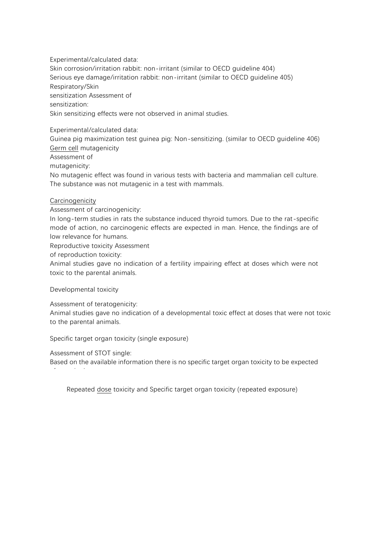Experimental/calculated data: Skin corrosion/irritation rabbit: non-irritant (similar to OECD guideline 404) Serious eye damage/irritation rabbit: non-irritant (similar to OECD guideline 405) Respiratory/Skin sensitization Assessment of sensitization: Skin sensitizing effects were not observed in animal studies.

Experimental/calculated data:

Guinea pig maximization test guinea pig: Non-sensitizing. (similar to OECD guideline 406) Germ cell mutagenicity

Assessment of

mutagenicity:

No mutagenic effect was found in various tests with bacteria and mammalian cell culture. The substance was not mutagenic in a test with mammals.

## **Carcinogenicity**

Assessment of carcinogenicity:

In long-term studies in rats the substance induced thyroid tumors. Due to the rat-specific mode of action, no carcinogenic effects are expected in man. Hence, the findings are of low relevance for humans.

Reproductive toxicity Assessment

of reproduction toxicity:

Animal studies gave no indication of a fertility impairing effect at doses which were not toxic to the parental animals.

Developmental toxicity

Assessment of teratogenicity:

Animal studies gave no indication of a developmental toxic effect at doses that were not toxic to the parental animals.

Specific target organ toxicity (single exposure)

Assessment of STOT single:

after a single exposure.

Based on the available information there is no specific target organ toxicity to be expected

Repeated dose toxicity and Specific target organ toxicity (repeated exposure)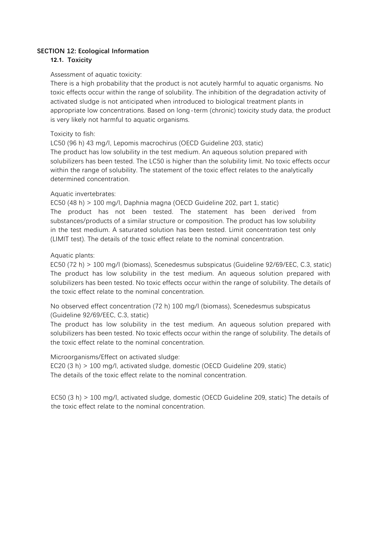## **SECTION 12: Ecological Information**

## **12.1. Toxicity**

## Assessment of aquatic toxicity:

There is a high probability that the product is not acutely harmful to aquatic organisms. No toxic effects occur within the range of solubility. The inhibition of the degradation activity of activated sludge is not anticipated when introduced to biological treatment plants in appropriate low concentrations. Based on long-term (chronic) toxicity study data, the product is very likely not harmful to aquatic organisms.

## Toxicity to fish:

LC50 (96 h) 43 mg/l, Lepomis macrochirus (OECD Guideline 203, static) The product has low solubility in the test medium. An aqueous solution prepared with solubilizers has been tested. The LC50 is higher than the solubility limit. No toxic effects occur within the range of solubility. The statement of the toxic effect relates to the analytically determined concentration.

## Aquatic invertebrates:

EC50 (48 h) > 100 mg/l, Daphnia magna (OECD Guideline 202, part 1, static) The product has not been tested. The statement has been derived from substances/products of a similar structure or composition. The product has low solubility in the test medium. A saturated solution has been tested. Limit concentration test only (LIMIT test). The details of the toxic effect relate to the nominal concentration.

## Aquatic plants:

 EC50 (72 h) > 100 mg/l (biomass), Scenedesmus subspicatus (Guideline 92/69/EEC, C.3, static) The product has low solubility in the test medium. An aqueous solution prepared with solubilizers has been tested. No toxic effects occur within the range of solubility. The details of the toxic effect relate to the nominal concentration.

No observed effect concentration (72 h) 100 mg/l (biomass), Scenedesmus subspicatus (Guideline 92/69/EEC, C.3, static)

The product has low solubility in the test medium. An aqueous solution prepared with solubilizers has been tested. No toxic effects occur within the range of solubility. The details of the toxic effect relate to the nominal concentration.

# Microorganisms/Effect on activated sludge:

EC20 (3 h) > 100 mg/l, activated sludge, domestic (OECD Guideline 209, static) The details of the toxic effect relate to the nominal concentration.

EC50 (3 h) > 100 mg/l, activated sludge, domestic (OECD Guideline 209, static) The details of the toxic effect relate to the nominal concentration.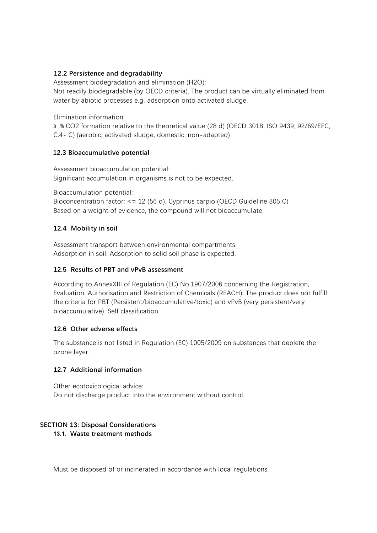## **12.2 Persistence and degradability**

Assessment biodegradation and elimination (H2O): Not readily biodegradable (by OECD criteria). The product can be virtually eliminated from water by abiotic processes e.g. adsorption onto activated sludge.

Elimination information:

8 % CO2 formation relative to the theoretical value (28 d) (OECD 301B; ISO 9439; 92/69/EEC, C.4- C) (aerobic, activated sludge, domestic, non-adapted)

## **12.3 Bioaccumulative potential**

Assessment bioaccumulation potential: Significant accumulation in organisms is not to be expected.

Bioaccumulation potential:

Bioconcentration factor: <= 12 (56 d), Cyprinus carpio (OECD Guideline 305 C) Based on a weight of evidence, the compound will not bioaccumulate.

## **12.4 Mobility in soil**

Assessment transport between environmental compartments: Adsorption in soil: Adsorption to solid soil phase is expected.

# **12.5 Results of PBT and vPvB assessment**

According to AnnexXIII of Regulation (EC) No.1907/2006 concerning the Registration, Evaluation, Authorisation and Restriction of Chemicals (REACH): The product does not fulfill the criteria for PBT (Persistent/bioaccumulative/toxic) and vPvB (very persistent/very bioaccumulative). Self classification

# **12.6 Other adverse effects**

The substance is not listed in Regulation (EC) 1005/2009 on substances that deplete the ozone layer.

## **12.7 Additional information**

Other ecotoxicological advice: Do not discharge product into the environment without control.

## **SECTION 13: Disposal Considerations**

**13.1. Waste treatment methods**

Must be disposed of or incinerated in accordance with local regulations.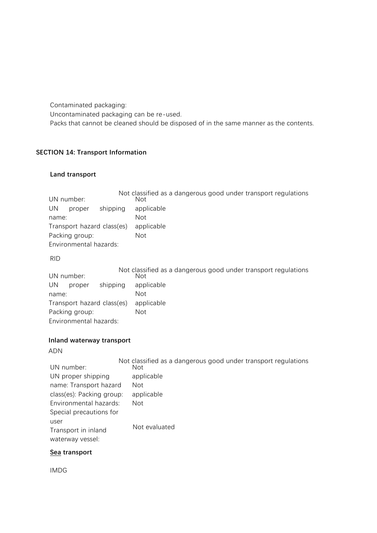Contaminated packaging: Uncontaminated packaging can be re-used. Packs that cannot be cleaned should be disposed of in the same manner as the contents.

# **SECTION 14: Transport Information**

## **Land transport**

|                            |          | Not classified as a dangerous good under transport regulations |
|----------------------------|----------|----------------------------------------------------------------|
| UN number:                 |          | Not                                                            |
| UN<br>proper               | shipping | applicable                                                     |
| name:                      |          | Not                                                            |
| Transport hazard class(es) |          | applicable                                                     |
| Packing group:             |          | Not                                                            |
| Environmental hazards:     |          |                                                                |
|                            |          |                                                                |

RID

|                            |          | Not classified as a dangerous good under transport regulations |
|----------------------------|----------|----------------------------------------------------------------|
| UN number:                 |          | Not                                                            |
| UN<br>proper               | shipping | applicable                                                     |
| name:                      |          | Not                                                            |
| Transport hazard class(es) |          | applicable                                                     |
| Packing group:             |          | Not                                                            |
| Environmental hazards:     |          |                                                                |

#### **Inland waterway transport**

ADN

|                           | Not classified as a dangerous good under transport regulations |
|---------------------------|----------------------------------------------------------------|
| UN number:                | Not                                                            |
| UN proper shipping        | applicable                                                     |
| name: Transport hazard    | Not                                                            |
| class(es): Packing group: | applicable                                                     |
| Environmental hazards:    | Not                                                            |
| Special precautions for   |                                                                |
| user                      |                                                                |
| Transport in inland       | Not evaluated                                                  |
| waterway vessel:          |                                                                |

# **Sea transport**

IMDG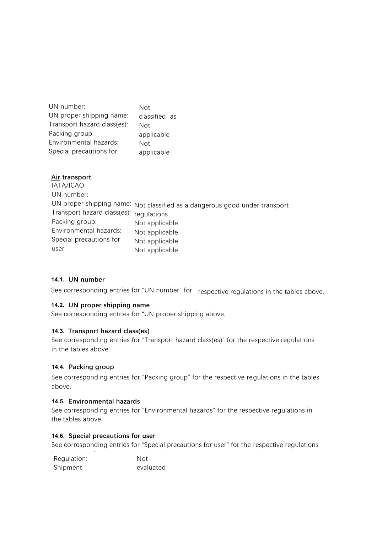| UN number:                  | Not           |
|-----------------------------|---------------|
| UN proper shipping name:    | classified as |
| Transport hazard class(es): | Not           |
| Packing group:              | applicable    |
| Environmental hazards:      | Not           |
| Special precautions for     | applicable    |

| Air transport               |                                                                             |
|-----------------------------|-----------------------------------------------------------------------------|
| IATA/ICAO                   |                                                                             |
| UN number:                  |                                                                             |
|                             | UN proper shipping name: Not classified as a dangerous good under transport |
| Transport hazard class(es): | regulations                                                                 |
| Packing group:              | Not applicable                                                              |
| Environmental hazards:      | Not applicable                                                              |
| Special precautions for     | Not applicable                                                              |
| user                        | Not applicable                                                              |

## **14.1. UN number**

See corresponding entries for "UN number" for respective regulations in the tables above.

#### **14.2. UN proper shipping name**

See corresponding entries for "UN proper shipping above.

#### **14.3. Transport hazard class(es)**

See corresponding entries for "Transport hazard class(es)" for the respective regulations in the tables above.

## **14.4. Packing group**

See corresponding entries for "Packing group" for the respective regulations in the tables above.

#### **14.5. Environmental hazards**

See corresponding entries for "Environmental hazards" for the respective regulations in the tables above.

## **14.6. Special precautions for user**

See corresponding entries for "Special precautions for user" for the respective regulations

| .<br>$\sim$ $\sim$<br>Regulation: | Not       |
|-----------------------------------|-----------|
| Shipment                          | evaluated |